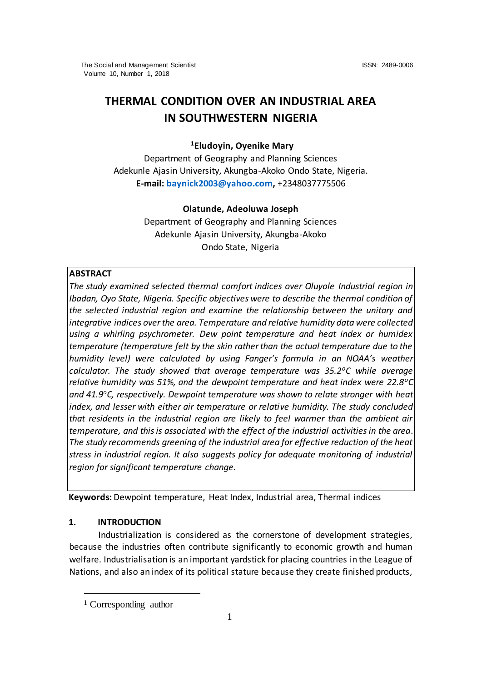# **THERMAL CONDITION OVER AN INDUSTRIAL AREA IN SOUTHWESTERN NIGERIA**

# **<sup>1</sup>Eludoyin, Oyenike Mary**

Department of Geography and Planning Sciences Adekunle Ajasin University, Akungba-Akoko Ondo State, Nigeria. **E-mail: [baynick2003@yahoo.com,](mailto:baynick2003@yahoo.com)** +2348037775506

# **Olatunde, Adeoluwa Joseph**

Department of Geography and Planning Sciences Adekunle Ajasin University, Akungba-Akoko Ondo State, Nigeria

## **ABSTRACT**

*The study examined selected thermal comfort indices over Oluyole Industrial region in Ibadan, Oyo State, Nigeria. Specific objectives were to describe the thermal condition of the selected industrial region and examine the relationship between the unitary and integrative indices over the area. Temperature and relative humidity data were collected using a whirling psychrometer. Dew point temperature and heat index or humidex temperature (temperature felt by the skin rather than the actual temperature due to the humidity level) were calculated by using Fanger's formula in an NOAA's weather calculator. The study showed that average temperature was 35.2<sup>o</sup>C while average relative humidity was 51%, and the dewpoint temperature and heat index were 22.8<sup>o</sup>C and 41.9<sup>o</sup>C, respectively. Dewpoint temperature was shown to relate stronger with heat index, and lesser with either air temperature or relative humidity. The study concluded that residents in the industrial region are likely to feel warmer than the ambient air temperature, and this is associated with the effect of the industrial activities in the area*. *The study recommends greening of the industrial area for effective reduction of the heat stress in industrial region. It also suggests policy for adequate monitoring of industrial region for significant temperature change.* 

**Keywords:** Dewpoint temperature, Heat Index, Industrial area, Thermal indices

# **1. INTRODUCTION**

 $\overline{a}$ 

Industrialization is considered as the cornerstone of development strategies, because the industries often contribute significantly to economic growth and human welfare. Industrialisation is an important yardstick for placing countries in the League of Nations, and also an index of its political stature because they create finished products,

<sup>1</sup> Corresponding author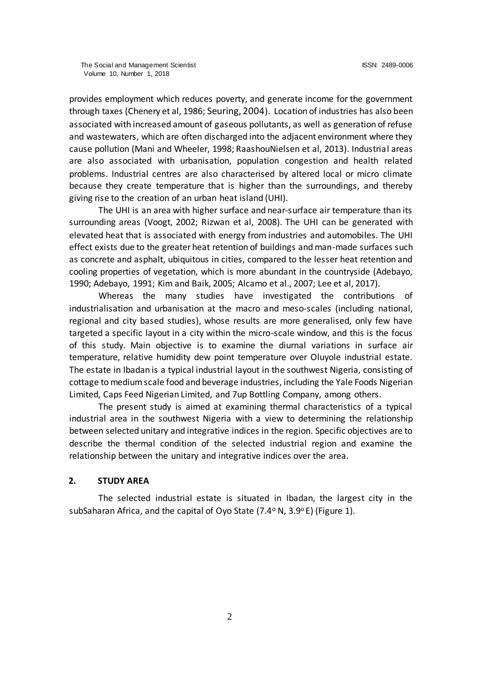provides employment which reduces poverty, and generate income for the government through taxes (Chenery et al, 1986; Seuring, 2004). Location of industries has also been associated with increased amount of gaseous pollutants, as well as generation of refuse and wastewaters, which are often discharged into the adjacent environment where they cause pollution (Mani and Wheeler, 1998; RaashouNielsen et al, 2013). Industrial areas are also associated with urbanisation, population congestion and health related problems. Industrial centres are also characterised by altered local or micro climate because they create temperature that is higher than the surroundings, and thereby giving rise to the creation of an urban heat island (UHI).

The UHI is an area with higher surface and near‐surface air temperature than its surrounding areas (Voogt, 2002; Rizwan et al, 2008). The UHI can be generated with elevated heat that is associated with energy from industries and automobiles. The UHI effect exists due to the greater heat retention of buildings and man-made surfaces such as concrete and asphalt, ubiquitous in cities, compared to the lesser heat retention and cooling properties of vegetation, which is more abundant in the countryside (Adebayo, 1990; Adebayo, 1991; Kim and Baik, 2005; Alcamo et al., 2007; Lee et al, 2017).

Whereas the many studies have investigated the contributions of industrialisation and urbanisation at the macro and meso-scales (including national, regional and city based studies), whose results are more generalised, only few have targeted a specific layout in a city within the micro-scale window, and this is the focus of this study. Main objective is to examine the diurnal variations in surface air temperature, relative humidity dew point temperature over Oluyole industrial estate. The estate in Ibadan is a typical industrial layout in the southwest Nigeria, consisting of cottage to medium scale food and beverage industries, including the Yale Foods Nigerian Limited, Caps Feed Nigerian Limited, and 7up Bottling Company, among others.

The present study is aimed at examining thermal characteristics of a typical industrial area in the southwest Nigeria with a view to determining the relationship between selected unitary and integrative indices in the region. Specific objectives are to describe the thermal condition of the selected industrial region and examine the relationship between the unitary and integrative indices over the area.

## **2. STUDY AREA**

The selected industrial estate is situated in Ibadan, the largest city in the subSaharan Africa, and the capital of Oyo State (7.4° N, 3.9°E) (Figure 1).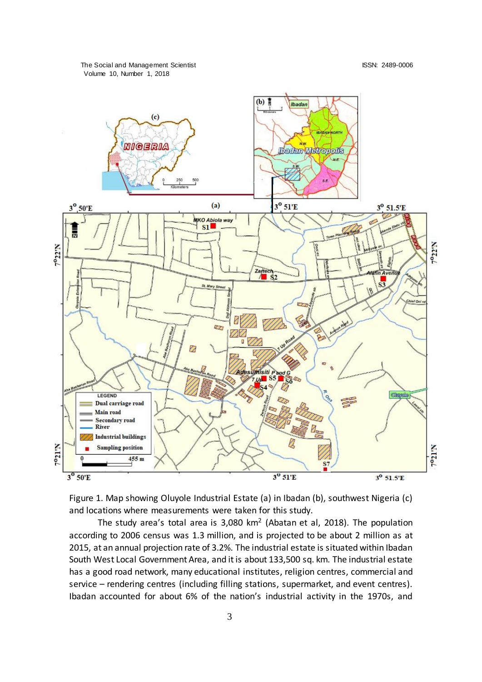

Figure 1. Map showing Oluyole Industrial Estate (a) in Ibadan (b), southwest Nigeria (c) and locations where measurements were taken for this study.

The study area's total area is  $3,080$  km<sup>2</sup> (Abatan et al, 2018). The population according to 2006 census was 1.3 million, and is projected to be about 2 million as at 2015, at an annual projection rate of 3.2%. The industrial estate is situated within Ibadan South West Local Government Area, and it is about 133,500 sq. km. The industrial estate has a good road network, many educational institutes, religion centres, commercial and service – rendering centres (including filling stations, supermarket, and event centres). Ibadan accounted for about 6% of the nation's industrial activity in the 1970s, and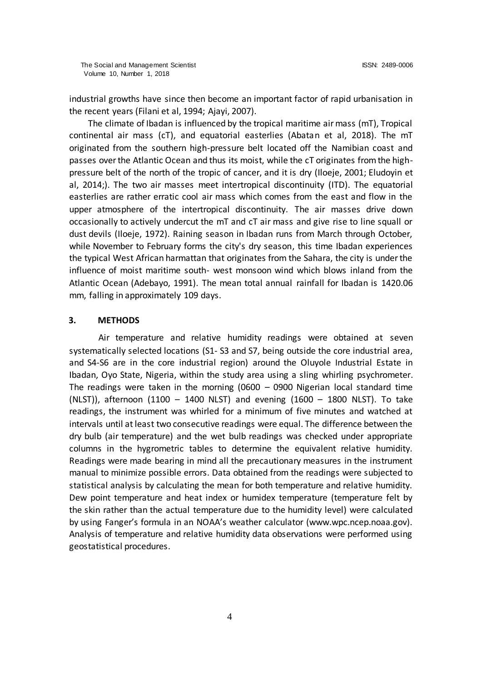industrial growths have since then become an important factor of rapid urbanisation in the recent years (Filani et al, 1994; Ajayi, 2007).

 The climate of Ibadan is influenced by the tropical maritime air mass (mT), Tropical continental air mass (cT), and equatorial easterlies (Abatan et al, 2018). The mT originated from the southern high-pressure belt located off the Namibian coast and passes over the Atlantic Ocean and thus its moist, while the cT originates from the highpressure belt of the north of the tropic of cancer, and it is dry (Iloeje, 2001; Eludoyin et al, 2014;). The two air masses meet intertropical discontinuity (ITD). The equatorial easterlies are rather erratic cool air mass which comes from the east and flow in the upper atmosphere of the intertropical discontinuity. The air masses drive down occasionally to actively undercut the mT and cT air mass and give rise to line squall or dust devils (Iloeje, 1972). Raining season in Ibadan runs from March through October, while November to February forms the city's dry season, this time Ibadan experiences the typical West African harmattan that originates from the Sahara, the city is under the influence of moist maritime south- west monsoon wind which blows inland from the Atlantic Ocean (Adebayo, 1991). The mean total annual rainfall for Ibadan is 1420.06 mm, falling in approximately 109 days.

#### **3. METHODS**

Air temperature and relative humidity readings were obtained at seven systematically selected locations (S1- S3 and S7, being outside the core industrial area, and S4-S6 are in the core industrial region) around the Oluyole Industrial Estate in Ibadan, Oyo State, Nigeria, within the study area using a sling whirling psychrometer. The readings were taken in the morning (0600 – 0900 Nigerian local standard time (NLST)), afternoon (1100 – 1400 NLST) and evening (1600 – 1800 NLST). To take readings, the instrument was whirled for a minimum of five minutes and watched at intervals until at least two consecutive readings were equal. The difference between the dry bulb (air temperature) and the wet bulb readings was checked under appropriate columns in the hygrometric tables to determine the equivalent relative humidity. Readings were made bearing in mind all the precautionary measures in the instrument manual to minimize possible errors. Data obtained from the readings were subjected to statistical analysis by calculating the mean for both temperature and relative humidity. Dew point temperature and heat index or humidex temperature (temperature felt by the skin rather than the actual temperature due to the humidity level) were calculated by using Fanger's formula in an NOAA's weather calculator (www.wpc.ncep.noaa.gov). Analysis of temperature and relative humidity data observations were performed using geostatistical procedures.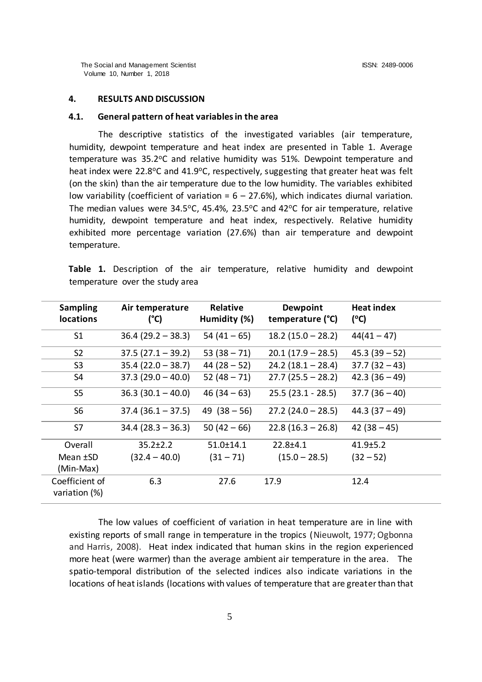## **4. RESULTS AND DISCUSSION**

## **4.1. General pattern of heat variables in the area**

The descriptive statistics of the investigated variables (air temperature, humidity, dewpoint temperature and heat index are presented in Table 1. Average temperature was 35.2°C and relative humidity was 51%. Dewpoint temperature and heat index were 22.8 $\degree$ C and 41.9 $\degree$ C, respectively, suggesting that greater heat was felt (on the skin) than the air temperature due to the low humidity. The variables exhibited low variability (coefficient of variation =  $6 - 27.6$ %), which indicates diurnal variation. The median values were 34.5°C, 45.4%, 23.5°C and 42°C for air temperature, relative humidity, dewpoint temperature and heat index, respectively. Relative humidity exhibited more percentage variation (27.6%) than air temperature and dewpoint temperature.

|  |                                 |  | Table 1. Description of the air temperature, relative humidity and dewpoint |  |  |
|--|---------------------------------|--|-----------------------------------------------------------------------------|--|--|
|  | temperature over the study area |  |                                                                             |  |  |

| <b>Sampling</b><br><b>locations</b> | Air temperature<br>(°C) | <b>Relative</b><br>Humidity (%) | Dewpoint<br>temperature (°C) | <b>Heat index</b><br>(C) |
|-------------------------------------|-------------------------|---------------------------------|------------------------------|--------------------------|
| S <sub>1</sub>                      | $36.4(29.2 - 38.3)$     | $54(41-65)$                     | $18.2(15.0 - 28.2)$          | $44(41 - 47)$            |
| S <sub>2</sub>                      | $37.5(27.1 - 39.2)$     | $53(38 - 71)$                   | $20.1(17.9 - 28.5)$          | $45.3(39-52)$            |
| S <sub>3</sub>                      | $35.4(22.0 - 38.7)$     | $44(28-52)$                     | $24.2(18.1 - 28.4)$          | $37.7(32 - 43)$          |
| S4                                  | $37.3(29.0 - 40.0)$     | $52(48 - 71)$                   | $27.7(25.5 - 28.2)$          | $42.3(36-49)$            |
| S <sub>5</sub>                      | $36.3(30.1 - 40.0)$     | $46(34-63)$                     | $25.5(23.1 - 28.5)$          | $37.7(36-40)$            |
| S <sub>6</sub>                      | $37.4(36.1 - 37.5)$     | 49 $(38 - 56)$                  | $27.2$ (24.0 – 28.5)         | $44.3(37-49)$            |
| S7                                  | $34.4(28.3 - 36.3)$     | $50(42-66)$                     | $22.8(16.3 - 26.8)$          | $42(38-45)$              |
| Overall                             | $35.2 \pm 2.2$          | $51.0 \pm 14.1$                 | $22.8 + 4.1$                 | $41.9 \pm 5.2$           |
| Mean ±SD                            | $(32.4 - 40.0)$         | $(31 - 71)$                     | $(15.0 - 28.5)$              | $(32 - 52)$              |
| (Min-Max)                           |                         |                                 |                              |                          |
| Coefficient of<br>variation (%)     | 6.3                     | 27.6                            | 17.9                         | 12.4                     |

The low values of coefficient of variation in heat temperature are in line with existing reports of small range in temperature in the tropics (Nieuwolt, 1977; Ogbonna and Harris, 2008). Heat index indicated that human skins in the region experienced more heat (were warmer) than the average ambient air temperature in the area. The spatio-temporal distribution of the selected indices also indicate variations in the locations of heat islands (locations with values of temperature that are greater than that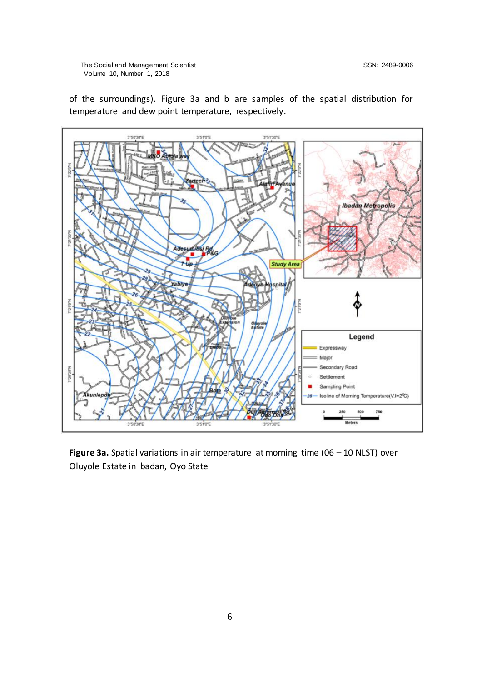The Social and Management Scientist ISSN: 2489-0006 Volume 10, Number 1, 2018



of the surroundings). Figure 3a and b are samples of the spatial distribution for temperature and dew point temperature, respectively.

**Figure 3a.** Spatial variations in air temperature at morning time (06 – 10 NLST) over Oluyole Estate in Ibadan, Oyo State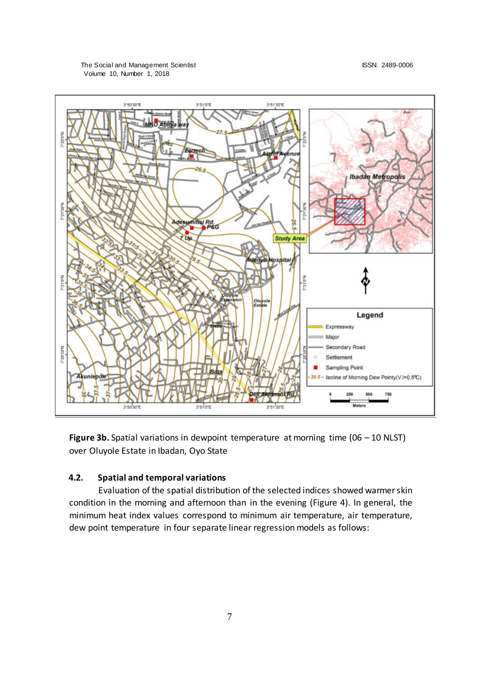

**Figure 3b.** Spatial variations in dewpoint temperature at morning time (06 – 10 NLST) over Oluyole Estate in Ibadan, Oyo State

# **4.2. Spatial and temporal variations**

Evaluation of the spatial distribution of the selected indices showed warmer skin condition in the morning and afternoon than in the evening (Figure 4). In general, the minimum heat index values correspond to minimum air temperature, air temperature, dew point temperature in four separate linear regression models as follows: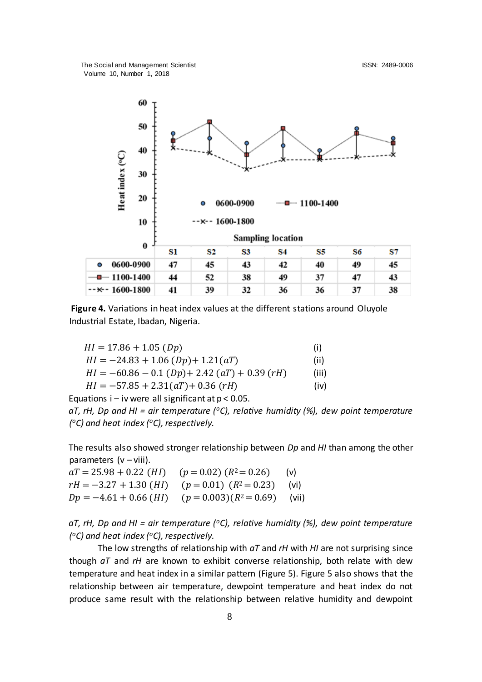The Social and Management Scientist ISSN: 2489-0006 Volume 10, Number 1, 2018



**Figure 4.** Variations in heat index values at the different stations around Oluyole Industrial Estate, Ibadan, Nigeria.

| $HI = 17.86 + 1.05$ (Dp)                         | (i)   |
|--------------------------------------------------|-------|
| $HI = -24.83 + 1.06 (Dp) + 1.21 (aT)$            | (ii)  |
| $HI = -60.86 - 0.1$ (Dp) + 2.42 (aT) + 0.39 (rH) | (iii) |
| $HI = -57.85 + 2.31(aT) + 0.36(rH)$              | (iv)  |

Equations  $i - iv$  were all significant at  $p < 0.05$ . *aT, rH, Dp and HI = air temperature (<sup>o</sup>C), relative humidity (%), dew point temperature ( <sup>o</sup>C) and heat index (<sup>o</sup>C), respectively.* 

The results also showed stronger relationship between *Dp* and *HI* than among the other parameters  $(v - viii)$ .

 $aT = 25.98 + 0.22$  (*HI*) ( $p = 0.02$ ) ( $R^2 = 0.26$ ) (v)  $rH = -3.27 + 1.30$  (*HI*) ( $p = 0.01$ ) ( $R^2 = 0.23$ ) (vi)  $Dp = -4.61 + 0.66$  (*HI*) ( $p = 0.003$ )( $R^2 = 0.69$ ) (vii)

*aT, rH, Dp and HI = air temperature (<sup>o</sup>C), relative humidity (%), dew point temperature ( <sup>o</sup>C) and heat index (<sup>o</sup>C), respectively.* 

The low strengths of relationship with *aT* and *rH* with *HI* are not surprising since though *aT* and *rH* are known to exhibit converse relationship, both relate with dew temperature and heat index in a similar pattern (Figure 5). Figure 5 also shows that the relationship between air temperature, dewpoint temperature and heat index do not produce same result with the relationship between relative humidity and dewpoint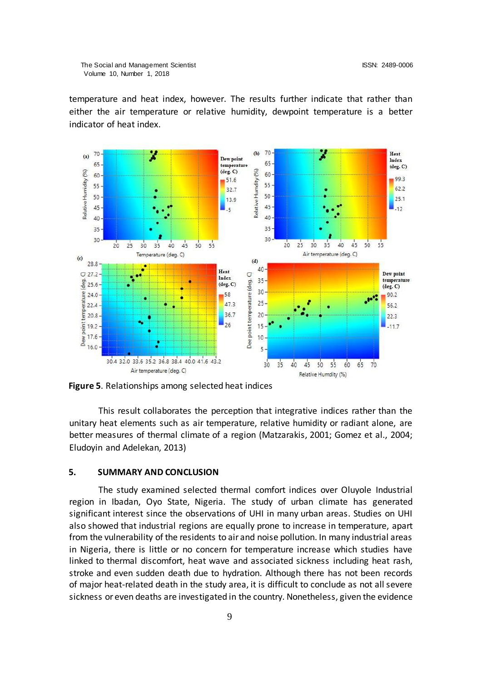temperature and heat index, however. The results further indicate that rather than either the air temperature or relative humidity, dewpoint temperature is a better indicator of heat index.



**Figure 5**. Relationships among selected heat indices

This result collaborates the perception that integrative indices rather than the unitary heat elements such as air temperature, relative humidity or radiant alone, are better measures of thermal climate of a region (Matzarakis, 2001; Gomez et al., 2004; Eludoyin and Adelekan, 2013)

### **5. SUMMARY AND CONCLUSION**

The study examined selected thermal comfort indices over Oluyole Industrial region in Ibadan, Oyo State, Nigeria. The study of urban climate has generated significant interest since the observations of UHI in many urban areas. Studies on UHI also showed that industrial regions are equally prone to increase in temperature, apart from the vulnerability of the residents to air and noise pollution. In many industrial areas in Nigeria, there is little or no concern for temperature increase which studies have linked to thermal discomfort, heat wave and associated sickness including heat rash, stroke and even sudden death due to hydration. Although there has not been records of major heat-related death in the study area, it is difficult to conclude as not all severe sickness or even deaths are investigated in the country. Nonetheless, given the evidence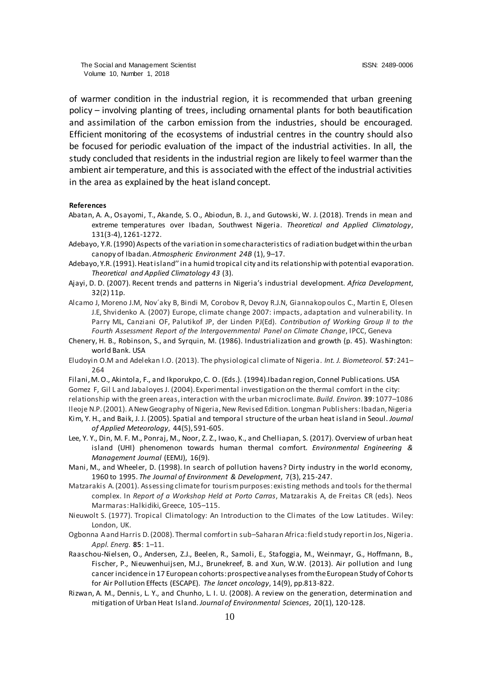of warmer condition in the industrial region, it is recommended that urban greening policy – involving planting of trees, including ornamental plants for both beautification and assimilation of the carbon emission from the industries, should be encouraged. Efficient monitoring of the ecosystems of industrial centres in the country should also be focused for periodic evaluation of the impact of the industrial activities. In all, the study concluded that residents in the industrial region are likely to feel warmer than the ambient air temperature, and this is associated with the effect of the industrial activities in the area as explained by the heat island concept.

#### **References**

- Abatan, A. A., Osayomi, T., Akande, S. O., Abiodun, B. J., and Gutowski, W. J. (2018). Trends in mean and extreme temperatures over Ibadan, Southwest Nigeria. *Theoretical and Applied Climatology*, 131(3-4), 1261-1272.
- Adebayo, Y.R. (1990) Aspects of the variation in some characteristics of radiation budget within the urban canopy of Ibadan. *Atmospheric Environment 24B* (1), 9–17.
- Adebayo, Y.R. (1991). Heat island'' in a humid tropical city and its relationship with potential evaporation. *Theoretical and Applied Climatology 43* (3).
- Ajayi, D. D. (2007). Recent trends and patterns in Nigeria's industrial development. *Africa Development*, 32(2) 11p.
- Alcamo J, Moreno J.M, Nov´aky B, Bindi M, Corobov R, Devoy R.J.N, Giannakopoulos C., Martin E, Olesen J.E, Shvidenko A. (2007) Europe, climate change 2007: impacts, adaptation and vulnerability. In Parry ML, Canziani OF, Palutikof JP, der Linden PJ(Ed). *Contribution of Working Group II to the Fourth Assessment Report of the Intergovernmental Panel on Climate Change*, IPCC, Geneva
- Chenery, H. B., Robinson, S., and Syrquin, M. (1986). Industrialization and growth (p. 45). Washington: world Bank. USA
- Eludoyin O.M and Adelekan I.O. (2013). The physiological climate of Nigeria. *Int. J. Biometeorol.* **57**: 241– 264
- Filani, M. O., Akintola, F., and Ikporukpo, C. O. (Eds.). (1994).Ibadan region, Connel Publications. USA

Gomez F, Gil L and Jabaloyes J. (2004). Experimental investigation on the thermal comfort in the city: relationship with the green areas, interaction with the urban microclimate. *Build. Environ.* **39**: 1077–1086

Ileoje N.P. (2001). A New Geography of Nigeria, New Revised Edition. Longman Publishers: Ibadan, Nigeria

- Kim, Y. H., and Baik, J. J. (2005). Spatial and tempora l structure of the urban heat island in Seoul. *Journal of Applied Meteorology*, 44(5), 591-605.
- Lee, Y. Y., Din, M. F. M., Ponraj, M., Noor, Z. Z., Iwao, K., and Chelliapan, S. (2017). Overview of urban heat island (UHI) phenomenon towards human thermal comfort. *Environmental Engineering & Management Journal* (EEMJ), 16(9).
- Mani, M., and Wheeler, D. (1998). In search of pollution havens? Dirty industry in the world economy, 1960 to 1995. *The Journal of Environment & Development*, 7(3), 215-247.
- Matzarakis A. (2001). Assessing climate for tourism purposes: existing methods and tools for the thermal complex. In *Report of a Workshop Held at Porto Carras*, Matzarakis A, de Freitas CR (eds). Neos Marmaras: Halkidiki, Greece, 105–115.
- Nieuwolt S. (1977). Tropical Climatology: An Introduction to the Climates of the Low Latitudes. Wiley: London, UK.
- Ogbonna A and Harris D. (2008). Thermal comfort in sub–Saharan Africa: field study report in Jos, Nigeria. *Appl. Energ.* **85**: 1–11.
- Raaschou-Nielsen, O., Andersen, Z.J., Beelen, R., Samoli, E., Stafoggia, M., Weinmayr, G., Hoffmann, B., Fischer, P., Nieuwenhuijsen, M.J., Brunekreef, B. and Xun, W.W. (2013). Air pollution and lung cancer incidence in 17 European cohorts: prospective analyses from the European Study of Cohorts for Air Pollution Effects (ESCAPE). *The lancet oncology*, 14(9), pp.813-822.
- Rizwan, A. M., Dennis, L. Y., and Chunho, L. I. U. (2008). A review on the generation, determination and mitigation of Urban Heat Island. *Journal of Environmental Sciences*, 20(1), 120-128.